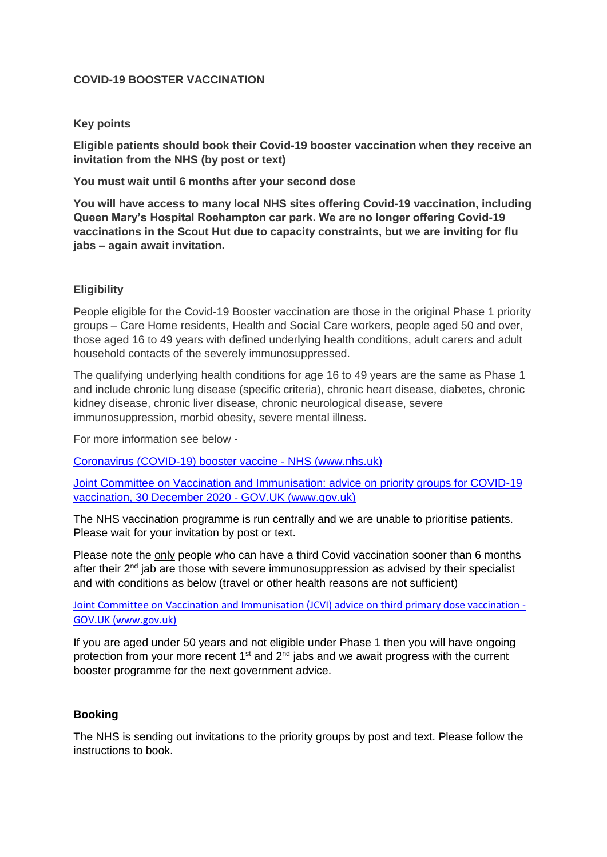# **COVID-19 BOOSTER VACCINATION**

### **Key points**

**Eligible patients should book their Covid-19 booster vaccination when they receive an invitation from the NHS (by post or text)**

**You must wait until 6 months after your second dose**

**You will have access to many local NHS sites offering Covid-19 vaccination, including Queen Mary's Hospital Roehampton car park. We are no longer offering Covid-19 vaccinations in the Scout Hut due to capacity constraints, but we are inviting for flu jabs – again await invitation.**

## **Eligibility**

People eligible for the Covid-19 Booster vaccination are those in the original Phase 1 priority groups – Care Home residents, Health and Social Care workers, people aged 50 and over, those aged 16 to 49 years with defined underlying health conditions, adult carers and adult household contacts of the severely immunosuppressed.

The qualifying underlying health conditions for age 16 to 49 years are the same as Phase 1 and include chronic lung disease (specific criteria), chronic heart disease, diabetes, chronic kidney disease, chronic liver disease, chronic neurological disease, severe immunosuppression, morbid obesity, severe mental illness.

For more information see below -

[Coronavirus \(COVID-19\) booster vaccine -](https://www.nhs.uk/conditions/coronavirus-covid-19/coronavirus-vaccination/coronavirus-booster-vaccine/) NHS (www.nhs.uk)

[Joint Committee on Vaccination and Immunisation: advice on priority groups for COVID-19](https://www.gov.uk/government/publications/priority-groups-for-coronavirus-covid-19-vaccination-advice-from-the-jcvi-30-december-2020/joint-committee-on-vaccination-and-immunisation-advice-on-priority-groups-for-covid-19-vaccination-30-december-2020)  [vaccination, 30 December 2020 -](https://www.gov.uk/government/publications/priority-groups-for-coronavirus-covid-19-vaccination-advice-from-the-jcvi-30-december-2020/joint-committee-on-vaccination-and-immunisation-advice-on-priority-groups-for-covid-19-vaccination-30-december-2020) GOV.UK (www.gov.uk)

The NHS vaccination programme is run centrally and we are unable to prioritise patients. Please wait for your invitation by post or text.

Please note the only people who can have a third Covid vaccination sooner than 6 months after their  $2<sup>nd</sup>$  jab are those with severe immunosuppression as advised by their specialist and with conditions as below (travel or other health reasons are not sufficient)

[Joint Committee on Vaccination and Immunisation \(JCVI\) advice on third primary dose vaccination -](https://www.gov.uk/government/publications/third-primary-covid-19-vaccine-dose-for-people-who-are-immunosuppressed-jcvi-advice/joint-committee-on-vaccination-and-immunisation-jcvi-advice-on-third-primary-dose-vaccination) [GOV.UK \(www.gov.uk\)](https://www.gov.uk/government/publications/third-primary-covid-19-vaccine-dose-for-people-who-are-immunosuppressed-jcvi-advice/joint-committee-on-vaccination-and-immunisation-jcvi-advice-on-third-primary-dose-vaccination)

If you are aged under 50 years and not eligible under Phase 1 then you will have ongoing protection from your more recent  $1<sup>st</sup>$  and  $2<sup>nd</sup>$  iabs and we await progress with the current booster programme for the next government advice.

## **Booking**

The NHS is sending out invitations to the priority groups by post and text. Please follow the instructions to book.